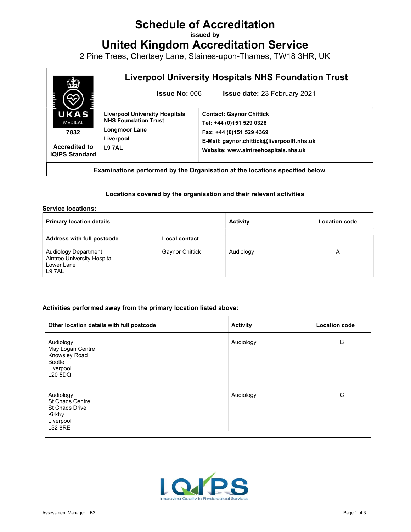# Schedule of Accreditation

issued by

United Kingdom Accreditation Service

2 Pine Trees, Chertsey Lane, Staines-upon-Thames, TW18 3HR, UK



Examinations performed by the Organisation at the locations specified below

## Locations covered by the organisation and their relevant activities

#### Service locations:

| <b>Primary location details</b>                                                   |                        | <b>Activity</b> | <b>Location code</b> |
|-----------------------------------------------------------------------------------|------------------------|-----------------|----------------------|
| <b>Address with full postcode</b>                                                 | <b>Local contact</b>   |                 |                      |
| <b>Audiology Department</b><br>Aintree University Hospital<br>Lower Lane<br>L97AL | <b>Gaynor Chittick</b> | Audiology       | A                    |

## Activities performed away from the primary location listed above:

| Other location details with full postcode                                                      | <b>Activity</b> | <b>Location code</b> |
|------------------------------------------------------------------------------------------------|-----------------|----------------------|
| Audiology<br>May Logan Centre<br>Knowsley Road<br>Bootle<br>Liverpool<br>L20 5DQ               | Audiology       | B                    |
| Audiology<br><b>St Chads Centre</b><br>St Chads Drive<br>Kirkby<br>Liverpool<br><b>L32 8RE</b> | Audiology       | C                    |

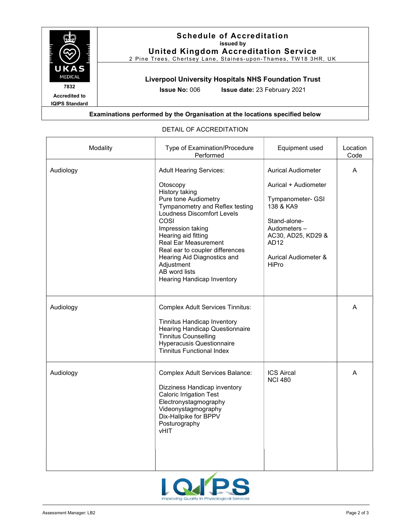

| Modality  | Type of Examination/Procedure<br>Performed                                                                                                                                                                                                                                                                                                                                            | Equipment used                                                                                                                                                                                            | Location<br>Code |
|-----------|---------------------------------------------------------------------------------------------------------------------------------------------------------------------------------------------------------------------------------------------------------------------------------------------------------------------------------------------------------------------------------------|-----------------------------------------------------------------------------------------------------------------------------------------------------------------------------------------------------------|------------------|
| Audiology | <b>Adult Hearing Services:</b><br>Otoscopy<br>History taking<br>Pure tone Audiometry<br>Tympanometry and Reflex testing<br><b>Loudness Discomfort Levels</b><br>COSI<br>Impression taking<br>Hearing aid fitting<br><b>Real Ear Measurement</b><br>Real ear to coupler differences<br>Hearing Aid Diagnostics and<br>Adjustment<br>AB word lists<br><b>Hearing Handicap Inventory</b> | <b>Aurical Audiometer</b><br>Aurical + Audiometer<br>Tympanometer- GSI<br>138 & KA9<br>Stand-alone-<br>Audometers -<br>AC30, AD25, KD29 &<br>AD <sub>12</sub><br><b>Aurical Audiometer &amp;</b><br>HiPro | A                |
| Audiology | <b>Complex Adult Services Tinnitus:</b><br><b>Tinnitus Handicap Inventory</b><br>Hearing Handicap Questionnaire<br><b>Tinnitus Counselling</b><br><b>Hyperacusis Questionnaire</b><br><b>Tinnitus Functional Index</b>                                                                                                                                                                |                                                                                                                                                                                                           | A                |
| Audiology | <b>Complex Adult Services Balance:</b><br>Dizziness Handicap inventory<br><b>Caloric Irrigation Test</b><br>Electronystagmography<br>Videonystagmography<br>Dix-Hallpike for BPPV<br>Posturography<br>vHIT                                                                                                                                                                            | <b>ICS Aircal</b><br><b>NCI 480</b>                                                                                                                                                                       | A                |

# DETAIL OF ACCREDITATION